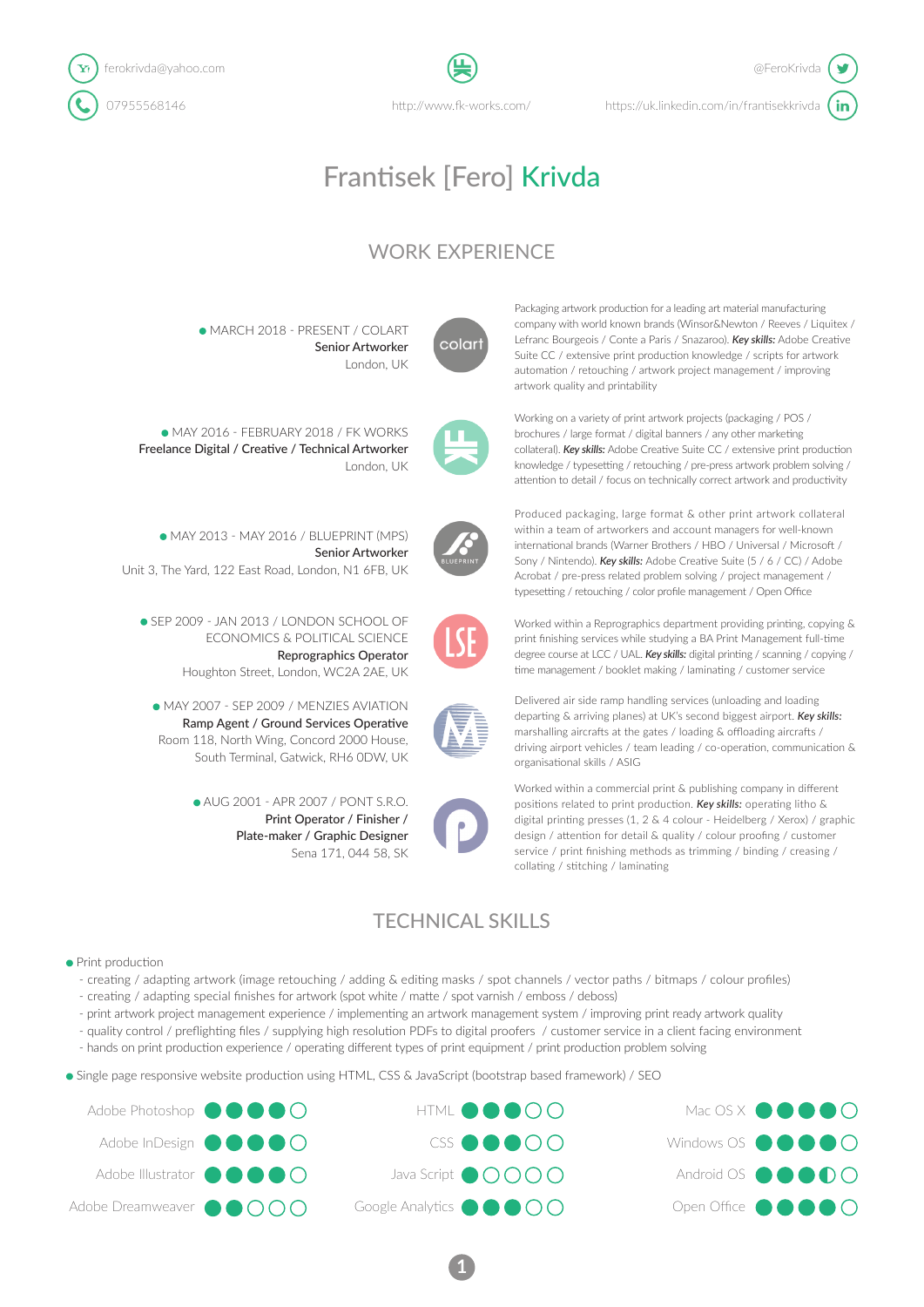

http://www.fk-works.com/

# Frantisek [Fero] Krivda

# WORK EXPERIENCE

• MARCH 2018 - PRESENT / COLART Senior Artworker London, UK



Packaging artwork production for a leading art material manufacturing company with world known brands (Winsor&Newton / Reeves / Liquitex / Lefranc Bourgeois / Conte a Paris / Snazaroo). *Key skills:* Adobe Creative Suite CC / extensive print production knowledge / scripts for artwork automation / retouching / artwork project management / improving artwork quality and printability

Working on a variety of print artwork projects (packaging / POS / brochures / large format / digital banners / any other marketing collateral). *Key skills:* Adobe Creative Suite CC / extensive print production knowledge / typesetting / retouching / pre-press artwork problem solving / attention to detail / focus on technically correct artwork and productivity

Freelance Digital / Creative / Technical Artworker London, UK

• MAY 2016 - FEBRUARY 2018 / FK WORKS

• MAY 2013 - MAY 2016 / BLUEPRINT (MPS)

Unit 3, The Yard, 122 East Road, London, N1 6FB, UK

• SEP 2009 - JAN 2013 / LONDON SCHOOL OF

ECONOMICS & POLITICAL SCIENCE

Houghton Street, London, WC2A 2AE, UK

• AUG 2001 - APR 2007 / PONT S.R.O.

Reprographics Operator

Print Operator / Finisher / Plate-maker / Graphic Designer

Sena 171, 044 58, SK

Senior Artworker



Produced packaging, large format & other print artwork collateral within a team of artworkers and account managers for well-known international brands (Warner Brothers / HBO / Universal / Microsoft / Sony / Nintendo). *Key skills:* Adobe Creative Suite (5 / 6 / CC) / Adobe Acrobat / pre-press related problem solving / project management / typesetting / retouching / color profile management / Open Office



Worked within a Reprographics department providing printing, copying & print finishing services while studying a BA Print Management full-time degree course at LCC / UAL. *Key skills:* digital printing / scanning / copying / time management / booklet making / laminating / customer service



organisational skills / ASIG

departing & arriving planes) at UK's second biggest airport. *Key skills:* marshalling aircrafts at the gates / loading & offloading aircrafts / driving airport vehicles / team leading / co-operation, communication & Worked within a commercial print & publishing company in different

Delivered air side ramp handling services (unloading and loading

positions related to print production. *Key skills:* operating litho & digital printing presses (1, 2 & 4 colour - Heidelberg / Xerox) / graphic design / attention for detail & quality / colour proofing / customer service / print finishing methods as trimming / binding / creasing / collating / stitching / laminating

# TECHNICAL SKILLS

#### • Print production

- creating / adapting artwork (image retouching / adding & editing masks / spot channels / vector paths / bitmaps / colour profiles)
- creating / adapting special finishes for artwork (spot white / matte / spot varnish / emboss / deboss)
- print artwork project management experience / implementing an artwork management system / improving print ready artwork quality
- quality control / preflighting files / supplying high resolution PDFs to digital proofers / customer service in a client facing environment
- hands on print production experience / operating different types of print equipment / print production problem solving
- Single page responsive website production using HTML, CSS & JavaScript (bootstrap based framework) / SEO







**1**